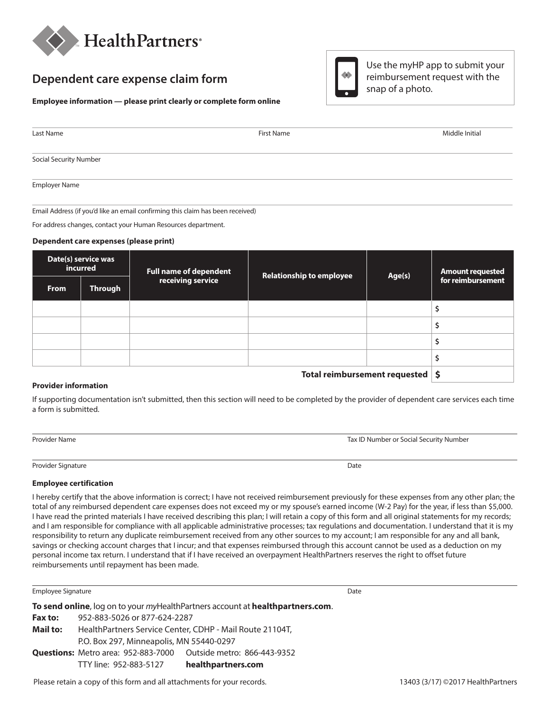

## **Dependent care expense claim form**

### **Employee information — please**

| Employee information — please print clearly or complete form online |            |                |  |
|---------------------------------------------------------------------|------------|----------------|--|
|                                                                     |            |                |  |
|                                                                     |            |                |  |
| Last Name                                                           | First Name | Middle Initial |  |

Use the myHP app to submit your reimbursement request with the

snap of a photo.

Social Security Number

Employer Name

Email Address (if you'd like an email confirming this claim has been received)

For address changes, contact your Human Resources department.

#### **Dependent care expenses (please print)**

| Date(s) service was<br>incurred    |         | <b>Full name of dependent</b> | <b>Relationship to employee</b> | Age(s) | <b>Amount requested</b> |
|------------------------------------|---------|-------------------------------|---------------------------------|--------|-------------------------|
| <b>From</b>                        | Through | receiving service             |                                 |        | for reimbursement       |
|                                    |         |                               |                                 |        |                         |
|                                    |         |                               |                                 |        | ∍                       |
|                                    |         |                               |                                 |        |                         |
|                                    |         |                               |                                 |        |                         |
| Total reimbursement requested   \$ |         |                               |                                 |        |                         |

### **Provider information**

If supporting documentation isn't submitted, then this section will need to be completed by the provider of dependent care services each time a form is submitted.

| Provider Name | Tax ID Number or Social Security Number |
|---------------|-----------------------------------------|
|               |                                         |

Provider Signature Date **Date of the Contract of Contract Contract of Contract Contract Contract Only and Contract Contract Only and Contract Only and Contract Only and Date Only and Date Only and Date Only and Date Only a** 

#### **Employee certification**

I hereby certify that the above information is correct; I have not received reimbursement previously for these expenses from any other plan; the total of any reimbursed dependent care expenses does not exceed my or my spouse's earned income (W-2 Pay) for the year, if less than \$5,000. I have read the printed materials I have received describing this plan; I will retain a copy of this form and all original statements for my records; and I am responsible for compliance with all applicable administrative processes; tax regulations and documentation. I understand that it is my responsibility to return any duplicate reimbursement received from any other sources to my account; I am responsible for any and all bank, savings or checking account charges that I incur; and that expenses reimbursed through this account cannot be used as a deduction on my personal income tax return. I understand that if I have received an overpayment HealthPartners reserves the right to offset future reimbursements until repayment has been made.

| Employee Signature                                                             |                                                          |                                                                         | Date |  |  |  |  |
|--------------------------------------------------------------------------------|----------------------------------------------------------|-------------------------------------------------------------------------|------|--|--|--|--|
| To send online, log on to your myHealthPartners account at healthpartners.com. |                                                          |                                                                         |      |  |  |  |  |
| <b>Fax to:</b>                                                                 | 952-883-5026 or 877-624-2287                             |                                                                         |      |  |  |  |  |
| Mail to:                                                                       | HealthPartners Service Center, CDHP - Mail Route 21104T, |                                                                         |      |  |  |  |  |
|                                                                                |                                                          | P.O. Box 297, Minneapolis, MN 55440-0297                                |      |  |  |  |  |
|                                                                                |                                                          | <b>Questions:</b> Metro area: 952-883-7000  Outside metro: 866-443-9352 |      |  |  |  |  |
|                                                                                | TTY line: 952-883-5127                                   | healthpartners.com                                                      |      |  |  |  |  |

Please retain a copy of this form and all attachments for your records. 13403 (3/17) ©2017 HealthPartners